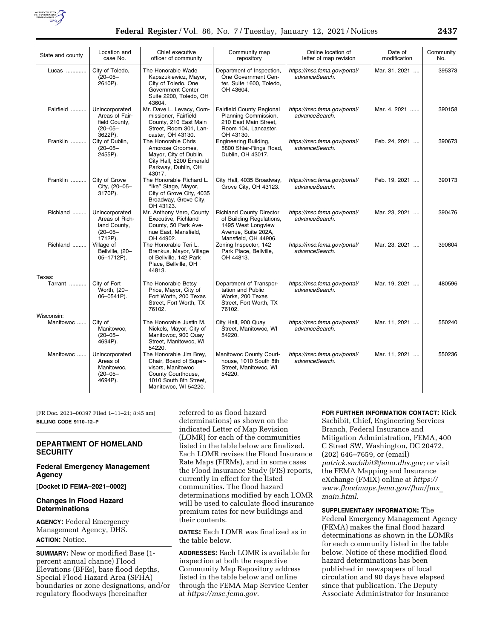

| State and county  | Location and<br>case No.                                                     | Chief executive<br>officer of community                                                                                                        | Community map<br>repository                                                                                                      | Online location of<br>letter of map revision   | Date of<br>modification | Community<br>No. |
|-------------------|------------------------------------------------------------------------------|------------------------------------------------------------------------------------------------------------------------------------------------|----------------------------------------------------------------------------------------------------------------------------------|------------------------------------------------|-------------------------|------------------|
| Lucas             | City of Toledo,<br>$(20 - 05 -$<br>2610P).                                   | The Honorable Wade<br>Kapszukiewicz, Mayor,<br>City of Toledo, One<br>Government Center<br>Suite 2200, Toledo, OH<br>43604.                    | Department of Inspection,<br>One Government Cen-<br>ter, Suite 1600, Toledo,<br>OH 43604.                                        | https://msc.fema.gov/portal/<br>advanceSearch. | Mar. 31, 2021           | 395373           |
| Fairfield         | Unincorporated<br>Areas of Fair-<br>field County,<br>$(20 - 05 -$<br>3622P). | Mr. Dave L. Levacy, Com-<br>missioner, Fairfield<br>County, 210 East Main<br>Street, Room 301, Lan-<br>caster, OH 43130.                       | <b>Fairfield County Regional</b><br>Planning Commission,<br>210 East Main Street,<br>Room 104, Lancaster,<br>OH 43130.           | https://msc.fema.gov/portal/<br>advanceSearch. | Mar. 4, 2021            | 390158           |
| Franklin          | City of Dublin,<br>$(20 - 05 -$<br>2455P).                                   | The Honorable Chris<br>Amorose Groomes,<br>Mayor, City of Dublin,<br>City Hall, 5200 Emerald<br>Parkway, Dublin, OH<br>43017.                  | Engineering Building,<br>5800 Shier-Rings Road,<br>Dublin, OH 43017.                                                             | https://msc.fema.gov/portal/<br>advanceSearch. | Feb. 24, 2021           | 390673           |
| Franklin          | City of Grove<br>City, (20-05-<br>3170P).                                    | The Honorable Richard L.<br>"Ike" Stage, Mayor,<br>City of Grove City, 4035<br>Broadway, Grove City,<br>OH 43123.                              | City Hall, 4035 Broadway,<br>Grove City, OH 43123.                                                                               | https://msc.fema.gov/portal/<br>advanceSearch. | Feb. 19, 2021           | 390173           |
| Richland          | Unincorporated<br>Areas of Rich-<br>land County,<br>$(20 - 05 -$<br>1712P).  | Mr. Anthony Vero, County<br>Executive, Richland<br>County, 50 Park Ave-<br>nue East, Mansfield,<br>OH 44902.                                   | <b>Richland County Director</b><br>of Building Regulations,<br>1495 West Longview<br>Avenue, Suite 202A,<br>Mansfield, OH 44906. | https://msc.fema.gov/portal/<br>advanceSearch. | Mar. 23, 2021           | 390476           |
| Richland          | Village of<br>Bellville, (20-<br>05-1712P).                                  | The Honorable Teri L.<br>Brenkus, Mayor, Village<br>of Bellville, 142 Park<br>Place, Bellville, OH<br>44813.                                   | Zoning Inspector, 142<br>Park Place, Bellville,<br>OH 44813.                                                                     | https://msc.fema.gov/portal/<br>advanceSearch. | Mar. 23, 2021           | 390604           |
| Texas:<br>Tarrant | City of Fort<br>Worth, (20-<br>06-0541P).                                    | The Honorable Betsy<br>Price, Mayor, City of<br>Fort Worth, 200 Texas<br>Street, Fort Worth, TX<br>76102.                                      | Department of Transpor-<br>tation and Public<br>Works, 200 Texas<br>Street, Fort Worth, TX<br>76102.                             | https://msc.fema.gov/portal/<br>advanceSearch. | Mar. 19, 2021           | 480596           |
| Wisconsin:        |                                                                              |                                                                                                                                                |                                                                                                                                  |                                                |                         |                  |
| Manitowoc         | City of<br>Manitowoc,<br>$(20 - 05 -$<br>4694P).                             | The Honorable Justin M.<br>Nickels, Mayor, City of<br>Manitowoc, 900 Quay<br>Street, Manitowoc, WI<br>54220.                                   | City Hall, 900 Quay<br>Street, Manitowoc, WI<br>54220.                                                                           | https://msc.fema.gov/portal/<br>advanceSearch. | Mar. 11, 2021           | 550240           |
| Manitowoc         | Unincorporated<br>Areas of<br>Manitowoc,<br>$(20 - 05 -$<br>4694P).          | The Honorable Jim Brey,<br>Chair, Board of Super-<br>visors, Manitowoc<br>County Courthouse,<br>1010 South 8th Street,<br>Manitowoc, WI 54220. | Manitowoc County Court-<br>house, 1010 South 8th<br>Street, Manitowoc, WI<br>54220.                                              | https://msc.fema.gov/portal/<br>advanceSearch. | Mar. 11, 2021           | 550236           |

[FR Doc. 2021–00397 Filed 1–11–21; 8:45 am] **BILLING CODE 9110–12–P** 

# **DEPARTMENT OF HOMELAND SECURITY**

## **Federal Emergency Management Agency**

**[Docket ID FEMA–2021–0002]** 

## **Changes in Flood Hazard Determinations**

**AGENCY:** Federal Emergency Management Agency, DHS. **ACTION:** Notice.

**SUMMARY:** New or modified Base (1 percent annual chance) Flood Elevations (BFEs), base flood depths, Special Flood Hazard Area (SFHA) boundaries or zone designations, and/or regulatory floodways (hereinafter

referred to as flood hazard determinations) as shown on the indicated Letter of Map Revision (LOMR) for each of the communities listed in the table below are finalized. Each LOMR revises the Flood Insurance Rate Maps (FIRMs), and in some cases the Flood Insurance Study (FIS) reports, currently in effect for the listed communities. The flood hazard determinations modified by each LOMR will be used to calculate flood insurance premium rates for new buildings and their contents.

**DATES:** Each LOMR was finalized as in the table below.

**ADDRESSES:** Each LOMR is available for inspection at both the respective Community Map Repository address listed in the table below and online through the FEMA Map Service Center at *[https://msc.fema.gov.](https://msc.fema.gov)* 

### **FOR FURTHER INFORMATION CONTACT:** Rick

Sacbibit, Chief, Engineering Services Branch, Federal Insurance and Mitigation Administration, FEMA, 400 C Street SW, Washington, DC 20472, (202) 646–7659, or (email) *[patrick.sacbibit@fema.dhs.gov;](mailto:patrick.sacbibit@fema.dhs.gov)* or visit the FEMA Mapping and Insurance eXchange (FMIX) online at *[https://](https://www.floodmaps.fema.gov/fhm/fmx_main.html) [www.floodmaps.fema.gov/fhm/fmx](https://www.floodmaps.fema.gov/fhm/fmx_main.html)*\_ *[main.html.](https://www.floodmaps.fema.gov/fhm/fmx_main.html)* 

### **SUPPLEMENTARY INFORMATION:** The

Federal Emergency Management Agency (FEMA) makes the final flood hazard determinations as shown in the LOMRs for each community listed in the table below. Notice of these modified flood hazard determinations has been published in newspapers of local circulation and 90 days have elapsed since that publication. The Deputy Associate Administrator for Insurance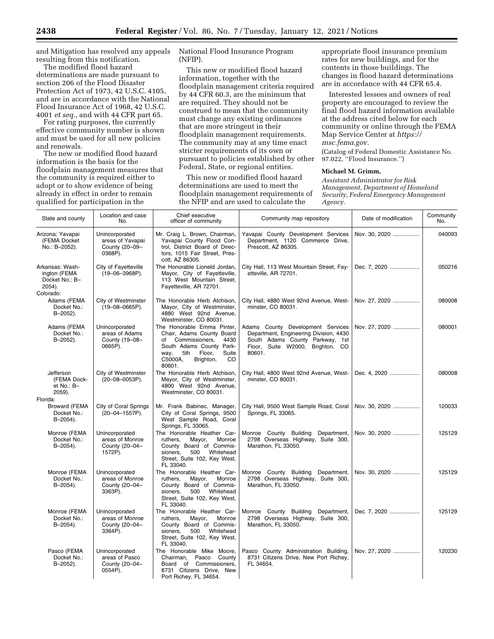and Mitigation has resolved any appeals resulting from this notification.

The modified flood hazard determinations are made pursuant to section 206 of the Flood Disaster Protection Act of 1973, 42 U.S.C. 4105, and are in accordance with the National Flood Insurance Act of 1968, 42 U.S.C. 4001 *et seq.,* and with 44 CFR part 65.

For rating purposes, the currently effective community number is shown and must be used for all new policies and renewals.

The new or modified flood hazard information is the basis for the floodplain management measures that the community is required either to adopt or to show evidence of being already in effect in order to remain qualified for participation in the

National Flood Insurance Program (NFIP).

This new or modified flood hazard information, together with the floodplain management criteria required by 44 CFR 60.3, are the minimum that are required. They should not be construed to mean that the community must change any existing ordinances that are more stringent in their floodplain management requirements. The community may at any time enact stricter requirements of its own or pursuant to policies established by other Federal, State, or regional entities.

This new or modified flood hazard determinations are used to meet the floodplain management requirements of the NFIP and are used to calculate the

appropriate flood insurance premium rates for new buildings, and for the contents in those buildings. The changes in flood hazard determinations are in accordance with 44 CFR 65.4.

Interested lessees and owners of real property are encouraged to review the final flood hazard information available at the address cited below for each community or online through the FEMA Map Service Center at *[https://](https://msc.fema.gov) [msc.fema.gov.](https://msc.fema.gov)* 

(Catalog of Federal Domestic Assistance No. 97.022, ''Flood Insurance.'')

### **Michael M. Grimm,**

*Assistant Administrator for Risk Management, Department of Homeland Security, Federal Emergency Management Agency.* 

| State and county                                                            | Location and case<br>No.                                        | Chief executive<br>officer of community                                                                                                                                                    | Community map repository                                                                                                                                     | Date of modification | Community<br>No. |
|-----------------------------------------------------------------------------|-----------------------------------------------------------------|--------------------------------------------------------------------------------------------------------------------------------------------------------------------------------------------|--------------------------------------------------------------------------------------------------------------------------------------------------------------|----------------------|------------------|
| Arizona: Yavapai<br>(FEMA Docket<br>No.: B-2052).                           | Unincorporated<br>areas of Yavapai<br>County (20-09-<br>0368P). | Mr. Craig L. Brown, Chairman,<br>Yavapai County Flood Con-<br>trol, District Board of Direc-<br>tors, 1015 Fair Street, Pres-<br>cott, AZ 86305.                                           | Yavapai County Development Services<br>Department, 1120 Commerce Drive,<br>Prescott, AZ 86305.                                                               | Nov. 30, 2020        | 040093           |
| Arkansas: Wash-<br>ington (FEMA<br>Docket No.: B-<br>$2054$ ).<br>Colorado: | City of Fayetteville<br>(19-06-3968P).                          | The Honorable Lioneld Jordan,<br>Mayor, City of Fayetteville,<br>113 West Mountain Street,<br>Fayetteville, AR 72701.                                                                      | City Hall, 113 West Mountain Street, Fay-<br>etteville, AR 72701.                                                                                            | Dec. 7, 2020         | 050216           |
| Adams (FEMA<br>Docket No.:<br>B-2052).                                      | City of Westminster<br>$(19 - 08 - 0665P)$ .                    | The Honorable Herb Atchison,<br>Mayor, City of Westminster,<br>4880 West 92nd Avenue,<br>Westminster, CO 80031.                                                                            | City Hall, 4880 West 92nd Avenue, West-<br>minster, CO 80031.                                                                                                | Nov. 27, 2020        | 080008           |
| Adams (FEMA<br>Docket No.:<br>B-2052).                                      | Unincorporated<br>areas of Adams<br>County (19-08-<br>0665P).   | The Honorable Emma Pinter,<br>Chair, Adams County Board<br>of Commissioners,<br>4430<br>South Adams County Park-<br>Suite<br>5th<br>Floor,<br>way,<br>CO<br>C5000A,<br>Brighton,<br>80601. | Adams County Development Services<br>Department, Engineering Division, 4430<br>South Adams County Parkway, 1st<br>Floor, Suite W2000, Brighton, CO<br>80601. | Nov. 27, 2020        | 080001           |
| Jefferson<br>(FEMA Dock-<br>et No.: B-<br>$2059$ ).                         | City of Westminster<br>(20-08-0053P).                           | The Honorable Herb Atchison,<br>Mayor, City of Westminster,<br>4800 West 92nd Avenue,<br>Westminster, CO 80031.                                                                            | City Hall, 4800 West 92nd Avenue, West-<br>minster, CO 80031.                                                                                                | Dec. 4, 2020         | 080008           |
| Florida:<br><b>Broward (FEMA</b><br>Docket No.:<br>$B - 2054$ ).            | City of Coral Springs<br>(20-04-1557P).                         | Mr. Frank Babinec, Manager,<br>City of Coral Springs, 9500<br>West Sample Road, Coral<br>Springs, FL 33065.                                                                                | City Hall, 9500 West Sample Road, Coral<br>Springs, FL 33065.                                                                                                | Nov. 30, 2020        | 120033           |
| Monroe (FEMA<br>Docket No.:<br>B-2054).                                     | Unincorporated<br>areas of Monroe<br>County (20-04-<br>1572P).  | The Honorable Heather Car-<br>ruthers,<br>Mayor,<br>Monroe<br>County Board of Commis-<br>Whitehead<br>sioners,<br>500<br>Street, Suite 102, Key West,<br>FL 33040.                         | Monroe County Building Department,<br>2798 Overseas Highway, Suite 300,<br>Marathon, FL 33050.                                                               | Nov. 30, 2020        | 125129           |
| Monroe (FEMA<br>Docket No.:<br>B-2054).                                     | Unincorporated<br>areas of Monroe<br>County (20-04-<br>3363P).  | The Honorable Heather Car-<br>ruthers,<br>Mayor,<br>Monroe<br>County Board of Commis-<br>Whitehead<br>500<br>sioners.<br>Street, Suite 102, Key West,<br>FL 33040.                         | Monroe County Building Department,<br>2798 Overseas Highway, Suite 300,<br>Marathon, FL 33050.                                                               | Nov. 30, 2020        | 125129           |
| Monroe (FEMA<br>Docket No.:<br>$B - 2054$ ).                                | Unincorporated<br>areas of Monroe<br>County (20-04-<br>3364P).  | The Honorable Heather Car-<br>Monroe<br>ruthers,<br>Mayor,<br>County Board of Commis-<br>500<br>Whitehead<br>sioners,<br>Street, Suite 102, Key West,<br>FL 33040.                         | Monroe County Building Department,<br>2798 Overseas Highway, Suite 300,<br>Marathon, FL 33050.                                                               | Dec. 7, 2020         | 125129           |
| Pasco (FEMA<br>Docket No.:<br>B-2052).                                      | Unincorporated<br>areas of Pasco<br>County (20-04-<br>0554P).   | The Honorable Mike Moore,<br>Chairman,<br>Pasco<br>County<br>Board of Commissioners,<br>8731 Citizens Drive, New<br>Port Richey, FL 34654.                                                 | Pasco County Administration Building,<br>8731 Citizens Drive, New Port Richey,<br>FL 34654.                                                                  | Nov. 27, 2020        | 120230           |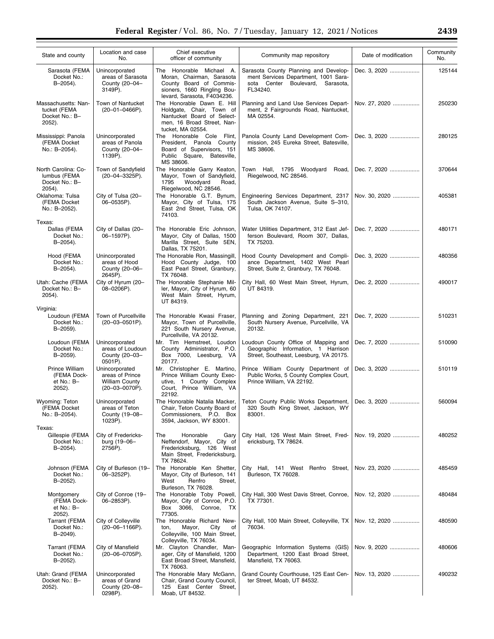| State and county                                                | Location and case<br>No.                                                     | Chief executive<br>officer of community                                                                                                        | Community map repository                                                                                                         | Date of modification | Community<br>No. |
|-----------------------------------------------------------------|------------------------------------------------------------------------------|------------------------------------------------------------------------------------------------------------------------------------------------|----------------------------------------------------------------------------------------------------------------------------------|----------------------|------------------|
| Sarasota (FEMA<br>Docket No.:<br>B-2054).                       | Unincorporated<br>areas of Sarasota<br>County (20-04-<br>3149P).             | The Honorable Michael A.<br>Moran, Chairman, Sarasota<br>County Board of Commis-<br>sioners, 1660 Ringling Bou-<br>levard, Sarasota, F4034236. | Sarasota County Planning and Develop-<br>ment Services Department, 1001 Sara-<br>sota Center Boulevard,<br>Sarasota,<br>FL34240. | Dec. 3. 2020         | 125144           |
| Massachusetts: Nan-<br>tucket (FEMA<br>Docket No.: B-<br>2052). | Town of Nantucket<br>$(20-01-0466P)$ .                                       | The Honorable Dawn E. Hill<br>Holdgate, Chair, Town of<br>Nantucket Board of Select-<br>men, 16 Broad Street, Nan-<br>tucket, MA 02554.        | Planning and Land Use Services Depart-<br>ment, 2 Fairgrounds Road, Nantucket,<br>MA 02554.                                      | Nov. 27, 2020        | 250230           |
| Mississippi: Panola<br>(FEMA Docket<br>No.: B-2054).            | Unincorporated<br>areas of Panola<br>County (20-04-<br>1139P).               | The Honorable Cole Flint,<br>President. Panola County<br>Board of Supervisors, 151<br>Public Square, Batesville,<br>MS 38606.                  | Panola County Land Development Com-<br>mission, 245 Eureka Street, Batesville,<br>MS 38606.                                      | Dec. 3, 2020         | 280125           |
| North Carolina: Co-<br>lumbus (FEMA<br>Docket No.: B-<br>2054). | Town of Sandyfield<br>$(20-04-3325P).$                                       | The Honorable Garry Keaton,<br>Mayor, Town of Sandyfield,<br>1795<br>Woodyard<br>Road,<br>Riegelwood, NC 28546.                                | Town Hall, 1795 Woodyard<br>Road,<br>Riegelwood, NC 28546.                                                                       | Dec. 7, 2020         | 370644           |
| Oklahoma: Tulsa<br>(FEMA Docket<br>No.: B-2052).                | City of Tulsa (20-<br>06-0535P).                                             | The Honorable G.T. Bynum,<br>Mayor, City of Tulsa, 175<br>East 2nd Street, Tulsa, OK<br>74103.                                                 | Engineering Services Department, 2317<br>South Jackson Avenue, Suite S-310,<br>Tulsa, OK 74107.                                  | Nov. 30, 2020        | 405381           |
| Texas:<br>Dallas (FEMA<br>Docket No.:<br>B-2054).               | City of Dallas (20-<br>06-1597P).                                            | The Honorable Eric Johnson,<br>Mayor, City of Dallas, 1500<br>Marilla Street, Suite 5EN,<br>Dallas, TX 75201.                                  | Water Utilities Department, 312 East Jef-<br>ferson Boulevard, Room 307, Dallas,<br>TX 75203.                                    | Dec. 7, 2020         | 480171           |
| Hood (FEMA<br>Docket No.:<br>$B - 2054$ ).                      | Unincorporated<br>areas of Hood<br>County (20-06-<br>2645P).                 | The Honorable Ron, Massingill,<br>Hood County Judge, 100<br>East Pearl Street, Granbury,<br>TX 76048.                                          | Hood County Development and Compli-<br>ance Department, 1402 West Pearl<br>Street, Suite 2, Granbury, TX 76048.                  | Dec. 3, 2020         | 480356           |
| Utah: Cache (FEMA<br>Docket No.: B-<br>2054).                   | City of Hyrum (20-<br>08-0206P).                                             | The Honorable Stephanie Mil-<br>ler, Mayor, City of Hyrum, 60<br>West Main Street, Hyrum,<br>UT 84319.                                         | City Hall, 60 West Main Street, Hyrum,<br>UT 84319.                                                                              | Dec. 2, 2020         | 490017           |
| Virginia:<br>Loudoun (FEMA<br>Docket No.:<br>B-2059).           | Town of Purcellville<br>$(20-03-0501P)$ .                                    | The Honorable Kwasi Fraser,<br>Mayor, Town of Purcellville,<br>221 South Nursery Avenue,<br>Purcellville, VA 20132.                            | Planning and Zoning Department, 221<br>South Nursery Avenue, Purcellville, VA<br>20132.                                          | Dec. 7, 2020         | 510231           |
| Loudoun (FEMA<br>Docket No.:<br>B-2059).                        | Unincorporated<br>areas of Loudoun<br>County (20-03-<br>0501P).              | Mr. Tim Hemstreet, Loudon<br>County Administrator, P.O.<br>Box 7000. Leesburg. VA<br>20177.                                                    | Loudoun County Office of Mapping and<br>Geographic Information, 1 Harrison<br>Street, Southeast, Leesburg, VA 20175.             | Dec. 7, 2020         | 510090           |
| Prince William<br>(FEMA Dock-<br>et No.: B-<br>2052).           | Unincorporated<br>areas of Prince<br><b>William County</b><br>(20-03-0070P). | Mr. Christopher E. Martino,<br>Prince William County Exec-<br>utive, 1 County Complex<br>Court, Prince William, VA<br>22192.                   | Prince William County Department of<br>Public Works, 5 County Complex Court,<br>Prince William, VA 22192.                        | Dec. 3. 2020         | 510119           |
| Wyoming: Teton<br>(FEMA Docket<br>No.: B-2054).<br>Texas:       | Unincorporated<br>areas of Teton<br>County (19-08-<br>1023P).                | The Honorable Natalia Macker,  <br>Chair, Teton County Board of<br>Commissioners, P.O. Box<br>3594, Jackson, WY 83001.                         | Teton County Public Works Department,   Dec. 3, 2020<br>320 South King Street, Jackson, WY<br>83001.                             |                      | 560094           |
| Gillespie (FEMA<br>Docket No.:<br>B-2054).                      | City of Fredericks-<br>burg (19-06-<br>2756P).                               | Honorable<br>The<br>Gary<br>Neffendorf, Mayor, City of<br>Fredericksburg, 126 West<br>Main Street, Fredericksburg,<br>TX 78624.                | City Hall, 126 West Main Street, Fred-<br>ericksburg, TX 78624.                                                                  | Nov. 19, 2020        | 480252           |
| Johnson (FEMA<br>Docket No.:<br>B-2052).                        | City of Burleson (19-<br>06-3252P).                                          | The Honorable Ken Shetter,<br>Mayor, City of Burleson, 141<br>West<br>Renfro<br>Street,<br>Burleson, TX 76028.                                 | City Hall, 141 West Renfro Street,<br>Burleson, TX 76028.                                                                        | Nov. 23, 2020        | 485459           |
| Montgomery<br>(FEMA Dock-<br>et No.: B-<br>2052).               | City of Conroe (19-<br>06-2853P).                                            | The Honorable Toby Powell,<br>Mayor, City of Conroe, P.O.<br>Box 3066,<br>Conroe, TX<br>77305.                                                 | City Hall, 300 West Davis Street, Conroe,<br>TX 77301.                                                                           | Nov. 12, 2020        | 480484           |
| <b>Tarrant (FEMA</b><br>Docket No.:<br>B-2049).                 | City of Colleyville<br>$(20-06-1166P)$ .                                     | The Honorable Richard New-<br>Mayor,<br>City<br>οf<br>ton,<br>Colleyville, 100 Main Street,<br>Colleyville, TX 76034.                          | City Hall, 100 Main Street, Colleyville, TX<br>76034.                                                                            | Nov. 12, 2020        | 480590           |
| Tarrant (FEMA<br>Docket No.:<br>B-2052).                        | City of Mansfield<br>$(20-06-0705P)$ .                                       | Mr. Clayton Chandler, Man-<br>ager, City of Mansfield, 1200<br>East Broad Street, Mansfield,<br>TX 76063.                                      | Geographic Information Systems (GIS)<br>Department, 1200 East Broad Street,<br>Mansfield, TX 76063.                              | Nov. 9, 2020         | 480606           |
| Utah: Grand (FEMA<br>Docket No.: B-<br>2052).                   | Unincorporated<br>areas of Grand<br>County (20-08-<br>0298P).                | The Honorable Mary McGann,<br>Chair, Grand County Council,<br>125 East Center Street,<br>Moab, UT 84532.                                       | Grand County Courthouse, 125 East Cen-<br>ter Street, Moab, UT 84532.                                                            | Nov. 13, 2020        | 490232           |